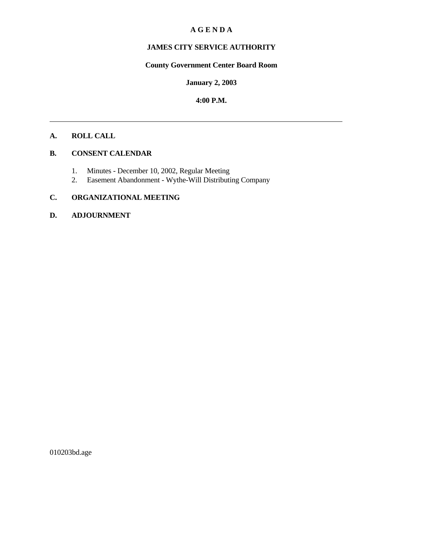#### **A G E N D A**

# **JAMES CITY SERVICE AUTHORITY**

# **County Government Center Board Room**

#### **January 2, 2003**

#### **4:00 P.M.**

# **A. ROLL CALL**

# **B. CONSENT CALENDAR**

- 1. Minutes December 10, 2002, Regular Meeting
- 2. Easement Abandonment Wythe-Will Distributing Company

# **C. ORGANIZATIONAL MEETING**

#### **D. ADJOURNMENT**

010203bd.age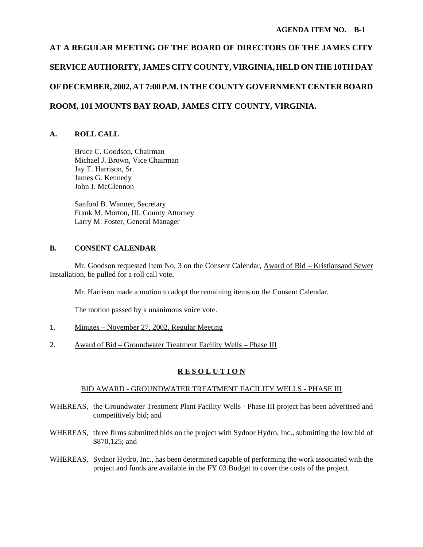# **AT A REGULAR MEETING OF THE BOARD OF DIRECTORS OF THE JAMES CITY SERVICE AUTHORITY, JAMES CITY COUNTY, VIRGINIA, HELD ON THE 10TH DAY OF DECEMBER, 2002, AT 7:00 P.M. IN THE COUNTY GOVERNMENT CENTER BOARD ROOM, 101 MOUNTS BAY ROAD, JAMES CITY COUNTY, VIRGINIA.**

# **A. ROLL CALL**

Bruce C. Goodson, Chairman Michael J. Brown, Vice Chairman Jay T. Harrison, Sr. James G. Kennedy John J. McGlennon

Sanford B. Wanner, Secretary Frank M. Morton, III, County Attorney Larry M. Foster, General Manager

## **B. CONSENT CALENDAR**

Mr. Goodson requested Item No. 3 on the Consent Calendar, Award of Bid – Kristiansand Sewer Installation, be pulled for a roll call vote.

Mr. Harrison made a motion to adopt the remaining items on the Consent Calendar.

The motion passed by a unanimous voice vote.

- 1. Minutes November 27, 2002, Regular Meeting
- 2. Award of Bid Groundwater Treatment Facility Wells Phase III

## **R E S O L U T I O N**

## BID AWARD - GROUNDWATER TREATMENT FACILITY WELLS - PHASE III

- WHEREAS, the Groundwater Treatment Plant Facility Wells Phase III project has been advertised and competitively bid; and
- WHEREAS, three firms submitted bids on the project with Sydnor Hydro, Inc., submitting the low bid of \$870,125; and
- WHEREAS, Sydnor Hydro, Inc., has been determined capable of performing the work associated with the project and funds are available in the FY 03 Budget to cover the costs of the project.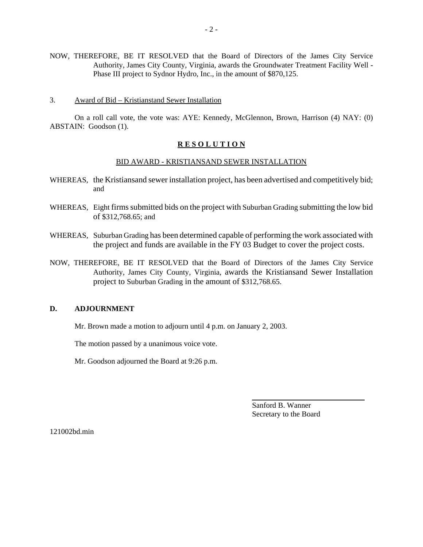- NOW, THEREFORE, BE IT RESOLVED that the Board of Directors of the James City Service Authority, James City County, Virginia, awards the Groundwater Treatment Facility Well - Phase III project to Sydnor Hydro, Inc., in the amount of \$870,125.
- 3. Award of Bid Kristianstand Sewer Installation

On a roll call vote, the vote was: AYE: Kennedy, McGlennon, Brown, Harrison (4) NAY: (0) ABSTAIN: Goodson (1).

#### **R E S O L U T I O N**

#### BID AWARD - KRISTIANSAND SEWER INSTALLATION

- WHEREAS, the Kristiansand sewer installation project, has been advertised and competitively bid; and
- WHEREAS, Eight firms submitted bids on the project with Suburban Grading submitting the low bid of \$312,768.65; and
- WHEREAS, Suburban Grading has been determined capable of performing the work associated with the project and funds are available in the FY 03 Budget to cover the project costs.
- NOW, THEREFORE, BE IT RESOLVED that the Board of Directors of the James City Service Authority, James City County, Virginia, awards the Kristiansand Sewer Installation project to Suburban Grading in the amount of \$312,768.65.

#### **D. ADJOURNMENT**

Mr. Brown made a motion to adjourn until 4 p.m. on January 2, 2003.

The motion passed by a unanimous voice vote.

Mr. Goodson adjourned the Board at 9:26 p.m.

Sanford B. Wanner Secretary to the Board

l

121002bd.min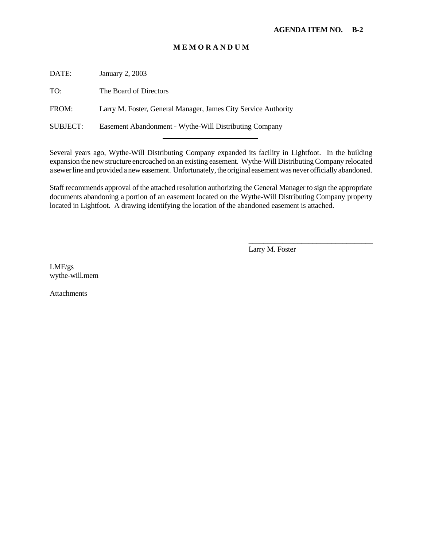# **M E M O R A N D U M**

DATE: January 2, 2003

TO: The Board of Directors

FROM: Larry M. Foster, General Manager, James City Service Authority

SUBJECT: Easement Abandonment - Wythe-Will Distributing Company l

Several years ago, Wythe-Will Distributing Company expanded its facility in Lightfoot. In the building expansion the new structure encroached on an existing easement. Wythe-Will Distributing Company relocated a sewer line and provided a new easement. Unfortunately, the original easement was never officially abandoned.

Staff recommends approval of the attached resolution authorizing the General Manager to sign the appropriate documents abandoning a portion of an easement located on the Wythe-Will Distributing Company property located in Lightfoot. A drawing identifying the location of the abandoned easement is attached.

Larry M. Foster

\_\_\_\_\_\_\_\_\_\_\_\_\_\_\_\_\_\_\_\_\_\_\_\_\_\_\_\_\_\_\_\_\_

LMF/gs wythe-will.mem

Attachments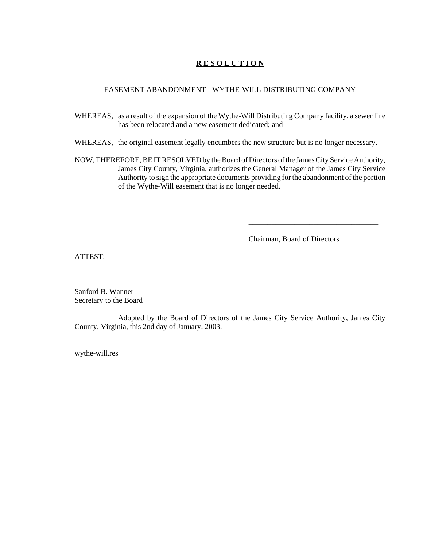# **R E S O L U T I O N**

#### EASEMENT ABANDONMENT - WYTHE-WILL DISTRIBUTING COMPANY

- WHEREAS, as a result of the expansion of the Wythe-Will Distributing Company facility, a sewer line has been relocated and a new easement dedicated; and
- WHEREAS, the original easement legally encumbers the new structure but is no longer necessary.
- NOW, THEREFORE, BE IT RESOLVED by the Board of Directors of the James City Service Authority, James City County, Virginia, authorizes the General Manager of the James City Service Authority to sign the appropriate documents providing for the abandonment of the portion of the Wythe-Will easement that is no longer needed.

Chairman, Board of Directors

\_\_\_\_\_\_\_\_\_\_\_\_\_\_\_\_\_\_\_\_\_\_\_\_\_\_\_\_\_\_\_\_\_\_

ATTEST:

Sanford B. Wanner Secretary to the Board

\_\_\_\_\_\_\_\_\_\_\_\_\_\_\_\_\_\_\_\_\_\_\_\_\_\_\_\_\_\_\_\_

Adopted by the Board of Directors of the James City Service Authority, James City County, Virginia, this 2nd day of January, 2003.

wythe-will.res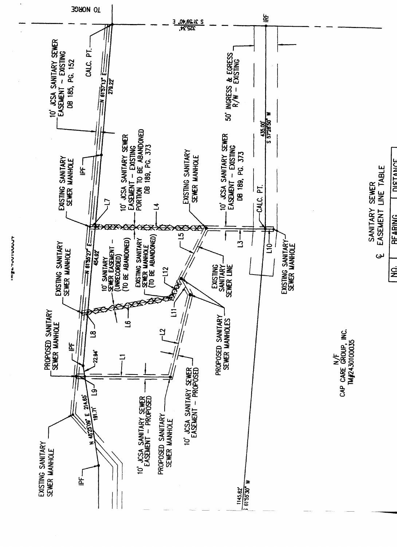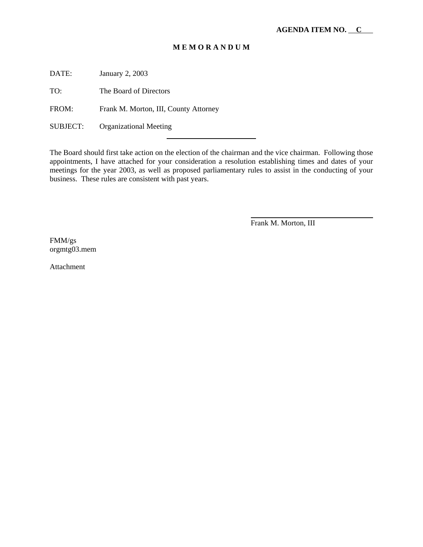#### **M E M O R A N D U M**

DATE: January 2, 2003

TO: The Board of Directors

FROM: Frank M. Morton, III, County Attorney

l

SUBJECT: Organizational Meeting

The Board should first take action on the election of the chairman and the vice chairman. Following those appointments, I have attached for your consideration a resolution establishing times and dates of your meetings for the year 2003, as well as proposed parliamentary rules to assist in the conducting of your business. These rules are consistent with past years.

Frank M. Morton, III

FMM/gs orgmtg03.mem

Attachment